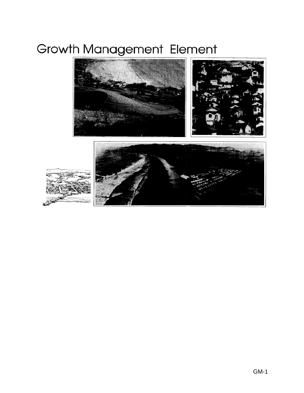# Growth Management Element



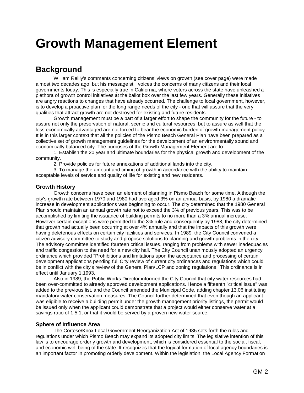## **Growth Management Element**

## **Background**

William Reilly's comments concerning citizens' views on growth (see cover page) were made almost two decades ago, but his message still voices the concerns of many citizens and their local governments today. This is especially true in California, where voters across the state have unleashed a plethora of growth control initiatives at the ballot box over the last few years. Generally these initiatives are angry reactions to changes that have already occurred. The challenge to local government, however, is to develop a proactive plan for the long range needs of the city - one that will assure that the very qualities that attract growth are not destroyed for existing and future residents.

Growth management must be a part of a larger effort to shape the community for the future - to assure not only the preservation of natural, scenic and cultural resources, but to assure as well that the less economically advantaged are not forced to bear the economic burden of growth management policy. It is in this larger context that all the policies of the Pismo Beach General Plan have been prepared as a collective set of growth management guidelines for the development of an environmentally sound and economically balanced city. The purposes of the Growth Management Element are to:

1. Establish the 20 year and ultimate boundaries for the physical growth and development of the community.

2. Provide policies for future annexations of additional lands into the city.

3. To manage the amount and timing of growth in accordance with the ability to maintain acceptable levels of service and quality of life for existing and new residents.

#### **Growth History**

Growth concerns have been an element of planning in Pismo Beach for some time. Although the city's growth rate between 1970 and 1980 had averaged 3% on an annual basis, by 1980 a dramatic increase in development applications was beginning to occur. The city determined that the 1980 General Plan should maintain an annual growth rate not to exceed the 3% of previous years. This was to be accomplished by limiting the issuance of building permits to no more than a 3% annual increase. However certain exceptions were permitted to the 3% rule and consequently by 1988, the city determined that growth had actually been occurring at over 4% annually and that the impacts of this growth were having deleterious effects on certain city facilities and services. In 1989, the City Council convened a citizen advisory committee to study and propose solutions to planning and growth problems in the city. The advisory committee identified fourteen critical issues, ranging from problems with sewer inadequacies and traffic congestion to the need for a new city hall. The City Council unanimously adopted an urgency ordinance which provided "Prohibitions and limitations upon the acceptance and processing of certain development applications pending full City review of current city ordinances and regulations which could be in conflict with the city's review of the General Plan/LCP and zoning regulations.' This ordinance is in effect until January 1,1993.

Also in 1989, the Public Works Director informed the City Council that city water resources had been over-committed to already approved development applications. Hence a fifteenth "critical issue" was added to the previous list, and the Council amended the Municipal Code, adding chapter 13.06 instituting mandatory water conservation measures. The Council further determined that even though an applicant was eligible to receive a building permit under the growth management priority listings, the permit would be issued only when the applicant could demonstrate that a project would either conserve water at a savings ratio of 1.5:1, or that it would be served by a proven new water source.

#### **Sphere of Influence Area**

The Cortese/Knox Local Government Reorganization Act of 1985 sets forth the rules and regulations under which Pismo Beach may expand its adopted city limits. The legislative intention of this law is to encourage orderly growth and development, which is considered essential to the social, fiscal, and economic well being of the state. It recognizes that the logical formation of local agency boundaries is an important factor in promoting orderly development. Within the legislation, the Local Agency Formation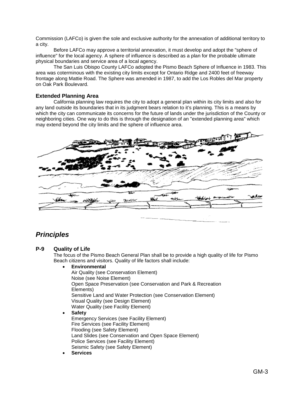Commission (LAFCo) is given the sole and exclusive authority for the annexation of additional territory to a city.

Before LAFCo may approve a territorial annexation, it must develop and adopt the "sphere of influence" for the local agency. A sphere of influence is described as a plan for the probable ultimate physical boundaries and service area of a local agency.

The San Luis Obispo County LAFCo adopted the Pismo Beach Sphere of Influence in 1983. This area was coterminous with the existing city limits except for Ontario Ridge and 2400 feet of freeway frontage along Mattie Road. The Sphere was amended in 1987, to add the Los Robles del Mar property on Oak Park Boulevard.

#### **Extended Planning Area**

California planning law requires the city to adopt a general plan within its city limits and also for any land outside its boundaries that in its judgment bears relation to it's planning. This is a means by which the city can communicate its concerns for the future of lands under the jurisdiction of the County or neighboring cities. One way to do this is through the designation of an "extended planning area" which may extend beyond the city limits and the sphere of influence area.



### *Principles*

#### **P-9 Quality of Life**

The focus of the Pismo Beach General Plan shall be to provide a high quality of life for Pismo Beach citizens and visitors. Quality of life factors shall include:

#### • **Environmental**

Air Quality (see Conservation Element) Noise (see Noise Element) Open Space Preservation (see Conservation and Park & Recreation Elements) Sensitive Land and Water Protection (see Conservation Element) Visual Quality (see Design Element) Water Quality (see Facility Element)

#### • **Safety**

Emergency Services (see Facility Element) Fire Services (see Facility Element) Flooding (see Safety Element) Land Slides (see Conservation and Open Space Element) Police Services (see Facility Element) Seismic Safety (see Safety Element)

• **Services**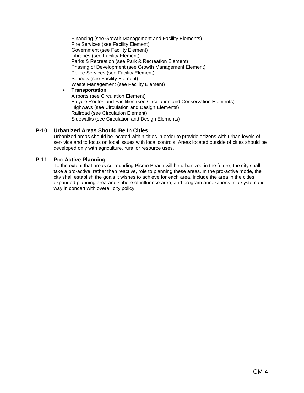Financing (see Growth Management and Facility Elements) Fire Services (see Facility Element) Government (see Facility Element) Libraries (see Facility Element) Parks & Recreation (see Park & Recreation Element) Phasing of Development (see Growth Management Element) Police Services (see Facility Element) Schools (see Facility Element) Waste Management (see Facility Element)

• **Transportation** 

Airports (see Circulation Element) Bicycle Routes and Facilities (see Circulation and Conservation Elements) Highways (see Circulation and Design Elements) Railroad (see Circulation Element) Sidewalks (see Circulation and Design Elements)

#### **P-10 Urbanized Areas Should Be In Cities**

Urbanized areas should be located within cities in order to provide citizens with urban levels of ser- vice and to focus on local issues with local controls. Areas located outside of cities should be developed only with agriculture, rural or resource uses.

#### **P-11 Pro-Active Planning**

To the extent that areas surrounding Pismo Beach will be urbanized in the future, the city shall take a pro-active, rather than reactive, role to planning these areas. In the pro-active mode, the city shall establish the goals it wishes to achieve for each area, include the area in the cities expanded planning area and sphere of influence area, and program annexations in a systematic way in concert with overall city policy.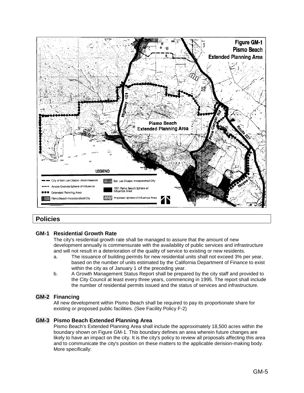

#### **Policies**

#### **GM-1 Residential Growth Rate**

The city's residential growth rate shall be managed to assure that the amount of new development annually is commensurate with the availability of public services and infrastructure and will not result in a deterioration of the quality of service to existing or new residents.

- a. The issuance of building permits for new residential units shall not exceed 3% per year, based on the number of units estimated by the California Department of Finance to exist within the city as of January 1 of the preceding year.
- b. A Growth Management Status Report shall be prepared by the city staff and provided to the City Council at least every three years, commencing in 1995. The report shall include the number of residential permits issued and the status of services and infrastructure.

#### **GM-2 Financing**

All new development within Pismo Beach shall be required to pay its proportionate share for existing or proposed public facilities. (See Facility Policy F-2)

#### **GM-3 Pismo Beach Extended Planning Area**

Pismo Beach's Extended Planning Area shall include the approximately 18,500 acres within the boundary shown on Figure GM-1. This boundary defines an area wherein future changes are likely to have an impact on the city. It is the city's policy to review all proposals affecting this area and to communicate the city's position on these matters to the applicable derision-making body. More specifically: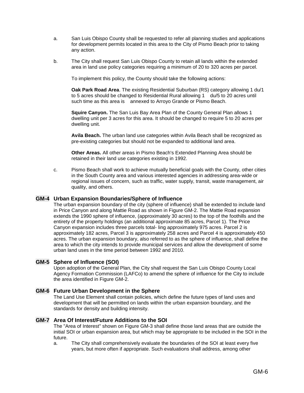- a. San Luis Obispo County shall be requested to refer all planning studies and applications for development permits located in this area to the City of Pismo Beach prior to taking any action.
- b. The City shall request San Luis Obispo County to retain all lands within the extended area in land use policy categories requiring a minimum of 20 to 320 acres per parcel.

To implement this policy, the County should take the following actions:

**Oak Park Road Area**. The existing Residential Suburban (RS) category allowing 1 du/1 to 5 acres should be changed to Residential Rural allowing 1 du/5 to 20 acres until such time as this area is annexed to Arroyo Grande or Pismo Beach.

**Squire Canyon.** The San Luis Bay Area Plan of the County General Plan allows 1 dwelling unit per 3 acres for this area. It should be changed to require 5 to 20 acres per dwelling unit.

**Avila Beach.** The urban land use categories within Avila Beach shall be recognized as pre-existing categories but should not be expanded to additional land area.

**Other Areas.** All other areas in Pismo Beach's Extended Planning Area should be retained in their land use categories existing in 1992.

c. Pismo Beach shall work to achieve mutually beneficial goals with the County, other cities in the South County area and various interested agencies in addressing area-wide or regional issues of concern, such as traffic, water supply, transit, waste management, air quality, and others.

#### **GM-4 Urban Expansion Boundaries/Sphere of Influence**

The urban expansion boundary of the city (sphere of influence) shall be extended to include land in Price Canyon and along Mattie Road as shown in Figure GM-2. The Mattie Road expansion extends the 1990 sphere of influence, (approximately 30 acres) to the top of the foothills and the entirety of the property holdings (an additional approximate 85 acres, Parcel 1). The Price Canyon expansion includes three parcels total- ling approximately 975 acres. Parcel 2 is approximately 182 acres, Parcel 3 is approximately 258 acres and Parcel 4 is approximately 450 acres. The urban expansion boundary, also referred to as the sphere of influence, shall define the area to which the city intends to provide municipal services and allow the development of some urban land uses in the time period between 1992 and 2010.

#### **GM-5 Sphere of Influence (SOI)**

Upon adoption of the General Plan, the City shall request the San Luis Obispo County Local Agency Formation Commission (LAFCo) to amend the sphere of influence for the City to include the area identified in Figure GM-2.

#### **GM-6 Future Urban Development in the Sphere**

The Land Use Element shall contain policies, which define the future types of land uses and development that will be permitted on lands within the urban expansion boundary, and the standards for density and building intensity.

#### **GM-7 Area Of Interest/Future Additions to the SOI**

The "Area of Interest" shown on Figure GM-3 shall define those land areas that are outside the initial SOI or urban expansion area, but which may be appropriate to be included in the SOI in the future.

a. The City shall comprehensively evaluate the boundaries of the SOI at least every five years, but more often if appropriate. Such evaluations shall address, among other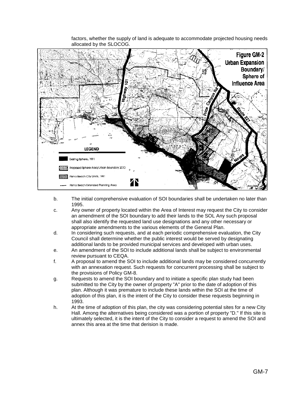

factors, whether the supply of land is adequate to accommodate projected housing needs allocated by the SLOCOG.

- b. The initial comprehensive evaluation of SOI boundaries shall be undertaken no later than 1995.
- c. Any owner of property located within the Area of Interest may request the City to consider an amendment of the SOI boundary to add their lands to the SOL Any such proposal shall also identify the requested land use designations and any other necessary or appropriate amendments to the various elements of the General Plan.
- d. In considering such requests, and at each periodic comprehensive evaluation, the City Council shall determine whether the public interest would be served by designating additional lands to be provided municipal services and developed with urban uses.
- e. An amendment of the SOI to include additional lands shall be subject to environmental review pursuant to CEQA.
- f. A proposal to amend the SOI to include additional lands may be considered concurrently with an annexation request. Such requests for concurrent processing shall be subject to the provisions of Policy GM-8.
- g. Requests to amend the SOI boundary and to initiate a specific plan study had been submitted to the City by the owner of property "A" prior to the date of adoption of this plan. Although it was premature to include these lands within the SOI at the time of adoption of this plan, it is the intent of the City to consider these requests beginning in 1993.
- h. At the time of adoption of this plan, the city was considering potential sites for a new City Hall. Among the alternatives being considered was a portion of property "D." If this site is ultimately selected, it is the intent of the City to consider a request to amend the SOI and annex this area at the time that derision is made.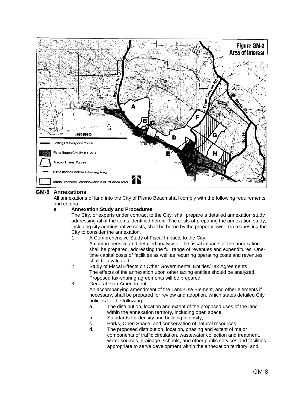

#### **GM-8 Annexations**

All annexations of land into the City of Pismo Beach shall comply with the following requirements and criteria:

#### **a. Annexation Study and Procedures**

The City, or experts under contract to the City, shall prepare a detailed annexation study addressing ail of the items identified herein. The costs of preparing the annexation study, including city administrative costs, shall be borne by the property owner(s) requesting the City to consider the annexation.

1. A Comprehensive Study of Fiscal Impacts to the City.

A comprehensive and detailed analysis of the fiscal impacts of the annexation shall be prepared, addressing the full range of revenues and expenditures. Onetime capital costs of facilities as well as recurring operating costs and revenues shall be evaluated.

- 2. Study of Fiscal Effects on Other Governmental Entities/Tax Agreements The effects of the annexation upon other taxing entities should be analyzed. Proposed tax-sharing agreements will be prepared.
- 3. General Plan Amendment

An accompanying amendment of the Land-Use Element, and other elements if necessary, shall be prepared for review and adoption, which states detailed City policies for the following:

- a. The distribution, location and extent of the proposed uses of the land within the annexation territory, including open space;
- b. Standards for density and building intensity;
- c. Parks, Open Space, and conservation of natural resources;
- d. The proposed distribution, location, phasing and extent of major components of traffic circulation, wastewater collection and treatment, water sources, drainage, schools, and other public services and facilities appropriate to serve development within the annexation territory; and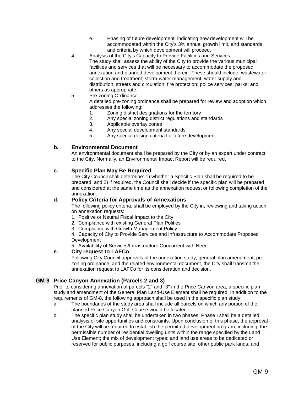- e. Phasing of future development, indicating how development will be accommodated within the City's 3% annual growth limit, and standards and criteria by which development will proceed.
- 4. Analysis of the City's Capacity to Provide Facilities and Services The study shall assess the ability of the City to provide the various municipal facilities and services that will be necessary to accommodate the proposed annexation and planned development therein. These should include: wastewater collection and treatment; storm-water management; water supply and distribution; streets and circulation; fire protection; police services; parks; and others as appropriate.
- 5. Pre-zoning Ordinance

A detailed pre-zoning ordinance shall be prepared for review and adoption which addresses the following:

- 1. Zoning district designations for the territory
- 2. Any special zoning district regulations and standards
- 3. Applicable overlay zones
- 4. Any special development standards
- 5. Any special design criteria for future development

#### **b. Environmental Document**

An environmental document shall be prepared by the City or by an expert under contract to the City. Normally, an Environmental Impact Report will be required.

#### **c. Specific Plan May Be Required**

The City Council shall determine: 1) whether a Specific Plan shall be required to be prepared; and 2) if required, the Council shall decide if the specific plan will be prepared and considered at the same time as the annexation request or following completion of the annexation.

#### **d. Policy Criteria for Approvals of Annexations**

The following policy criteria, shall be employed by the City in, reviewing and taking action on annexation requests:

- 1. Positive or Neutral Fiscal Impact to the City
- 2. Compliance with existing General Plan Polities
- 3. Compliance with Growth Management Policy

4. Capacity of City to Provide Services and Infrastructure to Accommodate Proposed **Development** 

5. Availability of Services/Infrastructure Concurrent with Need

#### **e. City request to LAFCo**

Following City Council approvals of the annexation study, general plan amendment, prezoning ordinance, and the related environmental document, the City shall transmit the annexation request to LAFCo for its consideration and decision.

#### **GM-9 Price Canyon Annexation (Parcels 2 and 3)**

Prior to considering annexation of parcels "2" and "3" in the Price Canyon area, a specific plan study and amendment of the General Plan Land-Use Element shall be required. In addition to the requirements of GM-8, the following approach shall be used in the specific plan study:

- a. The boundaries of the study area shall include all parcels on which any portion of the planned Price Canyon Golf Course would be located.
- b. The specific plan study shall be undertaken in two phases. Phase I shall be a detailed analysis of site opportunities and constraints. Upon conclusion of this phase, the approval of the City will be required to establish the permitted development program, including: the permissible number of residential dwelling units within the range specified by the Land Use Element; the mix of development types; and land use areas to be dedicated or reserved for public purposes, including a golf course site, other public park lands, and